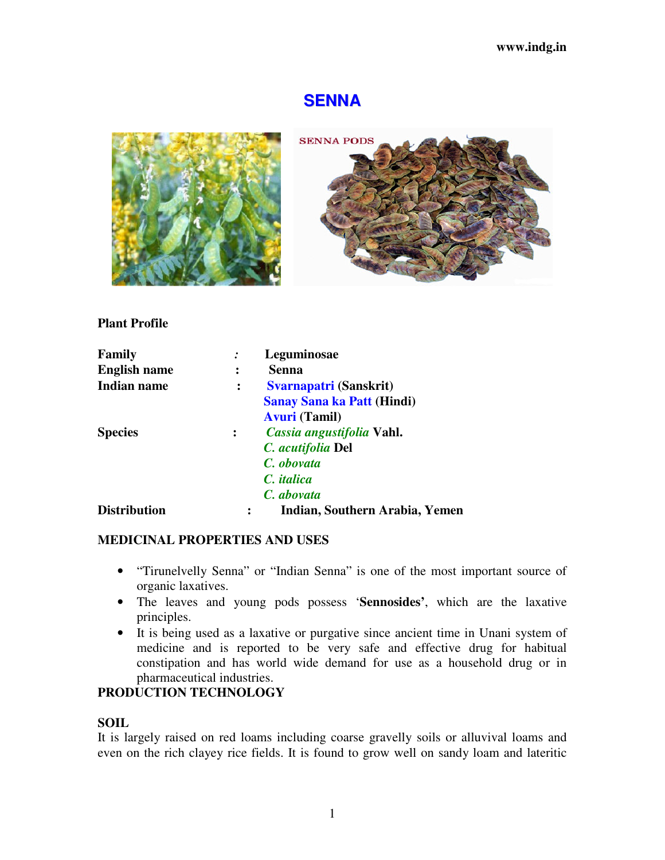# **SENNA**





# **Plant Profile**

| Family              |   | Leguminosae                    |
|---------------------|---|--------------------------------|
| <b>English name</b> |   | Senna                          |
| <b>Indian name</b>  | ፡ | Svarnapatri (Sanskrit)         |
|                     |   | Sanay Sana ka Patt (Hindi)     |
|                     |   | <b>Avuri</b> (Tamil)           |
| <b>Species</b>      | ∶ | Cassia angustifolia Vahl.      |
|                     |   | C. acutifolia Del              |
|                     |   | C. obovata                     |
|                     |   | C. <i>italica</i>              |
|                     |   | C. abovata                     |
| <b>Distribution</b> |   | Indian, Southern Arabia, Yemen |

# **MEDICINAL PROPERTIES AND USES**

- "Tirunelvelly Senna" or "Indian Senna" is one of the most important source of organic laxatives.
- The leaves and young pods possess '**Sennosides'**, which are the laxative principles.
- It is being used as a laxative or purgative since ancient time in Unani system of medicine and is reported to be very safe and effective drug for habitual constipation and has world wide demand for use as a household drug or in pharmaceutical industries.

# **PRODUCTION TECHNOLOGY**

# **SOIL**

It is largely raised on red loams including coarse gravelly soils or alluvival loams and even on the rich clayey rice fields. It is found to grow well on sandy loam and lateritic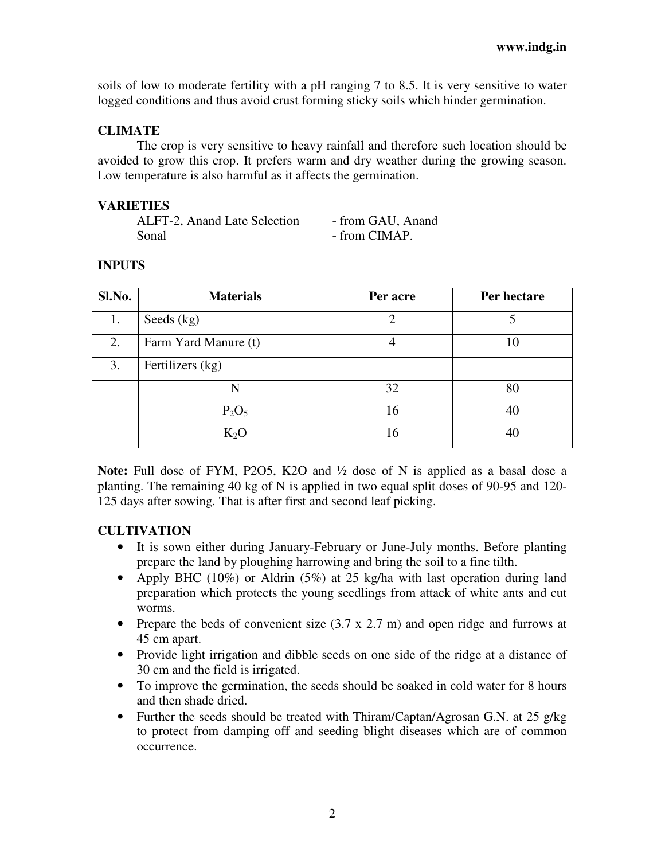soils of low to moderate fertility with a pH ranging 7 to 8.5. It is very sensitive to water logged conditions and thus avoid crust forming sticky soils which hinder germination.

# **CLIMATE**

 The crop is very sensitive to heavy rainfall and therefore such location should be avoided to grow this crop. It prefers warm and dry weather during the growing season. Low temperature is also harmful as it affects the germination.

# **VARIETIES**

| ALFT-2, Anand Late Selection | - from GAU, Anand |
|------------------------------|-------------------|
| Sonal                        | - from CIMAP.     |

# **INPUTS**

| Sl.No. | <b>Materials</b>     | Per acre       | Per hectare |
|--------|----------------------|----------------|-------------|
| 1.     | Seeds $(kg)$         | $\overline{c}$ |             |
| 2.     | Farm Yard Manure (t) | 4              | 10          |
| 3.     | Fertilizers (kg)     |                |             |
|        | N                    | 32             | 80          |
|        | $P_2O_5$             | 16             | 40          |
|        | $K_2O$               | 16             | 40          |

**Note:** Full dose of FYM, P2O5, K2O and ½ dose of N is applied as a basal dose a planting. The remaining 40 kg of N is applied in two equal split doses of 90-95 and 120- 125 days after sowing. That is after first and second leaf picking.

# **CULTIVATION**

- It is sown either during January-February or June-July months. Before planting prepare the land by ploughing harrowing and bring the soil to a fine tilth.
- Apply BHC (10%) or Aldrin (5%) at 25 kg/ha with last operation during land preparation which protects the young seedlings from attack of white ants and cut worms.
- Prepare the beds of convenient size  $(3.7 \times 2.7 \text{ m})$  and open ridge and furrows at 45 cm apart.
- Provide light irrigation and dibble seeds on one side of the ridge at a distance of 30 cm and the field is irrigated.
- To improve the germination, the seeds should be soaked in cold water for 8 hours and then shade dried.
- Further the seeds should be treated with Thiram/Captan/Agrosan G.N. at 25 g/kg to protect from damping off and seeding blight diseases which are of common occurrence.